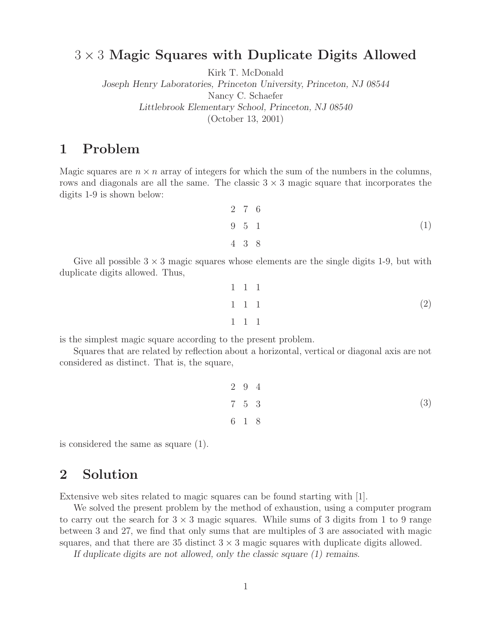## 3 *×* 3 **Magic Squares with Duplicate Digits Allowed**

Kirk T. McDonald

*Joseph Henry Laboratories, Princeton University, Princeton, NJ 08544* Nancy C. Schaefer *Littlebrook Elementary School, Princeton, NJ 08540*

(October 13, 2001)

## **1 Problem**

Magic squares are  $n \times n$  array of integers for which the sum of the numbers in the columns, rows and diagonals are all the same. The classic  $3 \times 3$  magic square that incorporates the digits 1-9 is shown below:

$$
\begin{array}{cccc}\n2 & 7 & 6 \\
9 & 5 & 1 \\
4 & 3 & 8\n\end{array} (1)
$$

Give all possible  $3 \times 3$  magic squares whose elements are the single digits 1-9, but with duplicate digits allowed. Thus,

$$
\begin{array}{cccc}\n1 & 1 & 1 \\
1 & 1 & 1\n\end{array} (2)
$$

is the simplest magic square according to the present problem.

Squares that are related by reflection about a horizontal, vertical or diagonal axis are not considered as distinct. That is, the square,

$$
\begin{array}{cccc}\n2 & 9 & 4 \\
7 & 5 & 3 \\
6 & 1 & 8\n\end{array} (3)
$$

is considered the same as square (1).

# **2 Solution**

Extensive web sites related to magic squares can be found starting with [1].

We solved the present problem by the method of exhaustion, using a computer program to carry out the search for  $3 \times 3$  magic squares. While sums of 3 digits from 1 to 9 range between 3 and 27, we find that only sums that are multiples of 3 are associated with magic squares, and that there are  $35$  distinct  $3 \times 3$  magic squares with duplicate digits allowed.

*If duplicate digits are not allowed, only the classic square (1) remains.*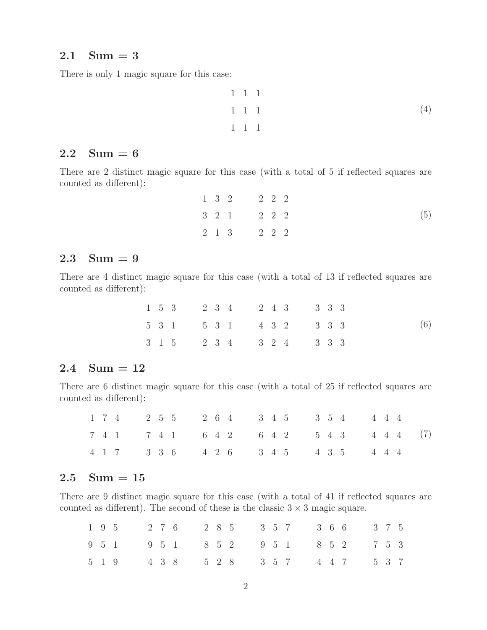#### **2.1 Sum = 3**

There is only 1 magic square for this case:

| $1 \; 1 \; 1$   |     |
|-----------------|-----|
| $1\quad1\quad1$ | (4) |
| $1\quad1\quad1$ |     |

#### **2.2 Sum = 6**

There are 2 distinct magic square for this case (with a total of 5 if reflected squares are counted as different):

|  | 1 3 2 2 2 2 |  |  |     |
|--|-------------|--|--|-----|
|  | 3 2 1 2 2 2 |  |  | (5) |
|  | 2 1 3 2 2 2 |  |  |     |

#### **2.3 Sum = 9**

There are 4 distinct magic square for this case (with a total of 13 if reflected squares are counted as different):

|  |  | $1\quad 5\quad 3 \qquad 2\quad 3\quad 4 \qquad 2\quad 4\quad 3 \qquad 3\quad 3\quad 3$ |  |  |  |     |
|--|--|----------------------------------------------------------------------------------------|--|--|--|-----|
|  |  | 5 3 1 5 3 1 4 3 2 3 3 3                                                                |  |  |  | (6) |
|  |  | 3 1 5 2 3 4 3 2 4 3 3 3                                                                |  |  |  |     |

#### **2.4 Sum = 12**

There are 6 distinct magic square for this case (with a total of 25 if reflected squares are counted as different):

|  |  |  |  |  |  |  | $1 \t7 \t4 \t2 \t5 \t5 \t2 \t6 \t4 \t3 \t4 \t5 \t3 \t5 \t4 \t4 \t4 \t4$                                         |  |  |
|--|--|--|--|--|--|--|-----------------------------------------------------------------------------------------------------------------|--|--|
|  |  |  |  |  |  |  | $7\quad 4\quad 1$ $7\quad 4\quad 1$ $6\quad 4\quad 2$ $6\quad 4\quad 2$ $5\quad 4\quad 3$ $4\quad 4\quad 4$ (7) |  |  |
|  |  |  |  |  |  |  | 4 1 7 3 3 6 4 2 6 3 4 5 4 3 5 4 4 4                                                                             |  |  |

#### **2.5 Sum = 15**

There are 9 distinct magic square for this case (with a total of 41 if reflected squares are counted as different). The second of these is the classic  $3 \times 3$  magic square.

|  | $1\ 9\ 5 \qquad \quad 2\ 7\ 6 \qquad \quad 2\ 8\ 5 \qquad \quad 3\ 5\ 7 \qquad \quad 3\ 6\ 6 \qquad \quad 3\ 7\ 5$                         |  |  |  |  |  |  |  |  |  |
|--|--------------------------------------------------------------------------------------------------------------------------------------------|--|--|--|--|--|--|--|--|--|
|  | $9\ \ 5\ \ 1 \qquad \quad 9\ \ 5\ \ 1 \qquad \quad 8\ \ 5\ \ 2 \qquad \quad 9\ \ 5\ \ 1 \qquad \quad 8\ \ 5\ \ 2 \qquad \quad 7\ \ 5\ \ 3$ |  |  |  |  |  |  |  |  |  |
|  | $5\ 1\ 9$ $4\ 3\ 8$ $5\ 2\ 8$ $3\ 5\ 7$ $4\ 4\ 7$ $5\ 3\ 7$                                                                                |  |  |  |  |  |  |  |  |  |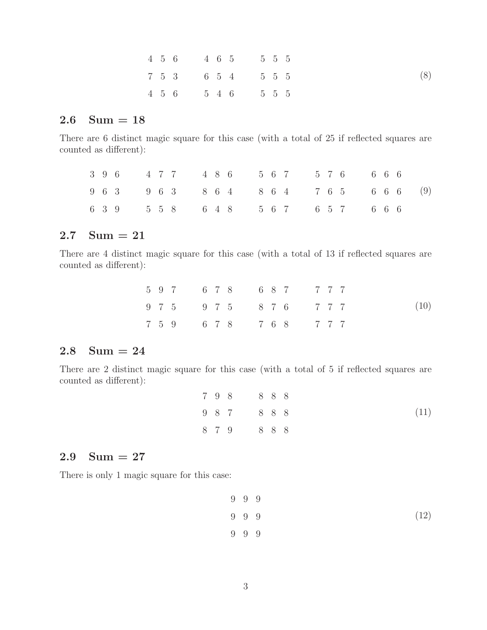|  |  |  | 4 5 6 4 6 5 5 5 5 |  |  |
|--|--|--|-------------------|--|--|
|  |  |  | 7 5 3 6 5 4 5 5 5 |  |  |
|  |  |  | 4 5 6 5 4 6 5 5 5 |  |  |

### **2.6 Sum = 18**

There are 6 distinct magic square for this case (with a total of 25 if reflected squares are counted as different):

|  | 3 9 6 4 7 7 4 8 6 5 6 7 5 7 6 6 6 6       |  |  |  |  |  |  |  |  |
|--|-------------------------------------------|--|--|--|--|--|--|--|--|
|  | 9 6 3 9 6 3 8 6 4 8 6 4 7 6 5 6 6 6 6 (9) |  |  |  |  |  |  |  |  |
|  | 6 3 9 5 5 8 6 4 8 5 6 7 6 5 7 6 6 6       |  |  |  |  |  |  |  |  |

#### **2.7 Sum = 21**

There are 4 distinct magic square for this case (with a total of 13 if reflected squares are counted as different):

|  | 5 9 7 6 7 8 6 8 7 7 7 7 |  |  |  |  |  |      |
|--|-------------------------|--|--|--|--|--|------|
|  | 9 7 5 9 7 5 8 7 6 7 7 7 |  |  |  |  |  | (10) |
|  | 7 5 9 6 7 8 7 6 8 7 7 7 |  |  |  |  |  |      |

#### **2.8 Sum = 24**

There are 2 distinct magic square for this case (with a total of 5 if reflected squares are counted as different):

|  | 7 9 8 8 8 8 |  |      |
|--|-------------|--|------|
|  | 9 8 7 8 8 8 |  | (11) |
|  | 8 7 9 8 8 8 |  |      |

## **2.9 Sum = 27**

There is only 1 magic square for this case:

 (12)